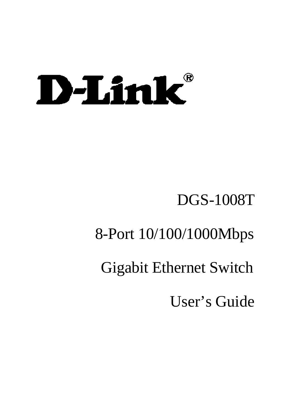# D-Link®

# DGS-1008T

# 8-Port 10/100/1000Mbps

# Gigabit Ethernet Switch

User's Guide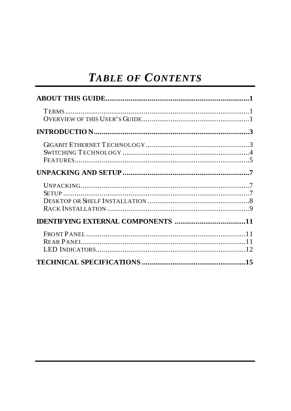#### **TABLE OF CONTENTS**

| <b>IDENTIFYING EXTERNAL COMPONENTS 11</b> |  |
|-------------------------------------------|--|
|                                           |  |
|                                           |  |
|                                           |  |
|                                           |  |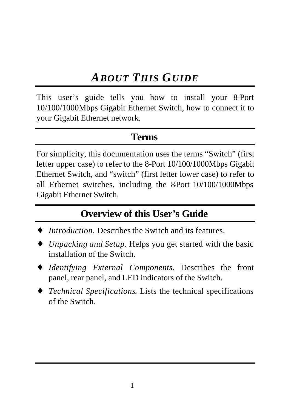## *ABOUT THIS GUIDE*

This user's guide tells you how to install your 8-Port 10/100/1000Mbps Gigabit Ethernet Switch, how to connect it to your Gigabit Ethernet network.

#### **Terms**

For simplicity, this documentation uses the terms "Switch" (first letter upper case) to refer to the 8-Port 10/100/1000Mbps Gigabit Ethernet Switch, and "switch" (first letter lower case) to refer to all Ethernet switches, including the 8-Port  $10/100/1000$ Mbps Gigabit Ethernet Switch.

#### **Overview of this User's Guide**

- *Introduction* Describes the Switch and its features.
- *Unpacking and Setup.* Helps you get started with the basic installation of the Switch.
- ♦ *Identifying External Components*. Describes the front panel, rear panel, and LED indicators of the Switch.
- ♦ *Technical Specifications*. Lists the technical specifications of the Switch.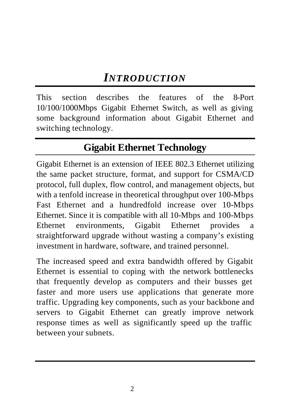#### *INTRODUCTION*

This section describes the features of the 8-Port 10/100/1000Mbps Gigabit Ethernet Switch, as well as giving some background information about Gigabit Ethernet and switching technology.

#### **Gigabit Ethernet Technology**

Gigabit Ethernet is an extension of IEEE 802.3 Ethernet utilizing the same packet structure, format, and support for CSMA/CD protocol, full duplex, flow control, and management objects, but with a tenfold increase in theoretical throughput over 100-Mbps Fast Ethernet and a hundredfold increase over 10-Mbps Ethernet. Since it is compatible with all 10-Mbps and 100-Mbps Ethernet environments, Gigabit Ethernet provides a straightforward upgrade without wasting a company's existing investment in hardware, software, and trained personnel.

The increased speed and extra bandwidth offered by Gigabit Ethernet is essential to coping with the network bottlenecks that frequently develop as computers and their busses get faster and more users use applications that generate more traffic. Upgrading key components, such as your backbone and servers to Gigabit Ethernet can greatly improve network response times as well as significantly speed up the traffic between your subnets.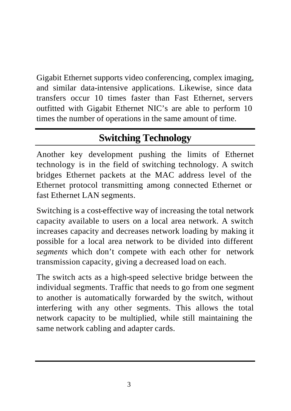Gigabit Ethernet supports video conferencing, complex imaging, and similar data-intensive applications. Likewise, since data transfers occur 10 times faster than Fast Ethernet, servers outfitted with Gigabit Ethernet NIC's are able to perform 10 times the number of operations in the same amount of time.

## **Switching Technology**

Another key development pushing the limits of Ethernet technology is in the field of switching technology. A switch bridges Ethernet packets at the MAC address level of the Ethernet protocol transmitting among connected Ethernet or fast Ethernet LAN segments.

Switching is a cost-effective way of increasing the total network capacity available to users on a local area network. A switch increases capacity and decreases network loading by making it possible for a local area network to be divided into different *segments* which don't compete with each other for network transmission capacity, giving a decreased load on each.

The switch acts as a high-speed selective bridge between the individual segments. Traffic that needs to go from one segment to another is automatically forwarded by the switch, without interfering with any other segments. This allows the total network capacity to be multiplied, while still maintaining the same network cabling and adapter cards.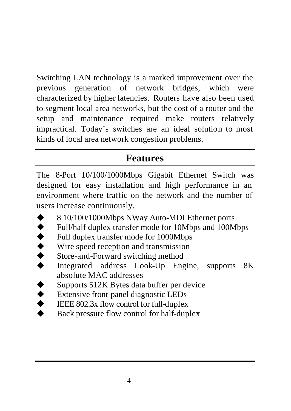Switching LAN technology is a marked improvement over the previous generation of network bridges, which were characterized by higher latencies. Routers have also been used to segment local area networks, but the cost of a router and the setup and maintenance required make routers relatively impractical. Today's switches are an ideal solution to most kinds of local area network congestion problems.

#### **Features**

The 8-Port 10/100/1000Mbps Gigabit Ethernet Switch was designed for easy installation and high performance in an environment where traffic on the network and the number of users increase continuously.

- 8 10/100/1000Mbps NWay Auto-MDI Ethernet ports
- $\blacklozenge$  Full/half duplex transfer mode for 10Mbps and 100Mbps
- 
- ◆ Full duplex transfer mode for 1000Mbps<br>Wire speed reception and transmission<br>Store-and-Forward switching method<br>Integrated address Look-Up Engin Wire speed reception and transmission
- Store-and-Forward switching method
- Integrated address Look-Up Engine, supports 8K absolute MAC addresses
- ◆ Supports 512K Bytes data buffer per device<br>Extensive front-panel diagnostic LEDs<br>EEE 802.3x flow control for full-duplex
- Extensive front-panel diagnostic LEDs
- IEEE  $802.3x$  flow control for full-duplex
- Back pressure flow control for half-duplex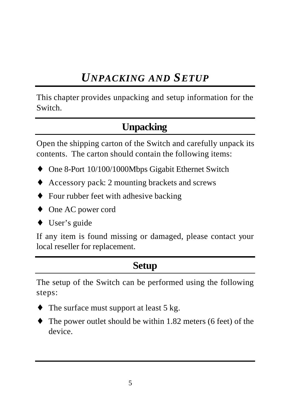### *UNPACKING AND SETUP*

This chapter provides unpacking and setup information for the Switch.

#### **Unpacking**

Open the shipping carton of the Switch and carefully unpack its contents. The carton should contain the following items:

- ♦ One 8-Port 10/100/1000Mbps Gigabit Ethernet Switch
- ♦ Accessory pack: 2 mounting brackets and screws
- ♦ Four rubber feet with adhesive backing
- ♦ One AC power cord
- ♦ User's guide

If any item is found missing or damaged, please contact your local reseller for replacement.

#### **Setup**

The setup of the Switch can be performed using the following steps:

- The surface must support at least  $5 \text{ kg}$ .
- The power outlet should be within 1.82 meters (6 feet) of the device.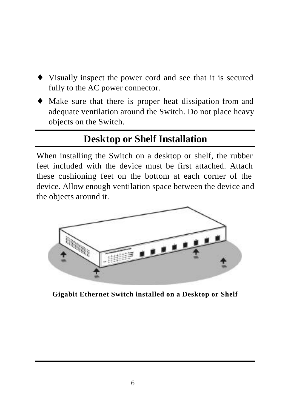- ♦ Visually inspect the power cord and see that it is secured fully to the AC power connector.
- ♦ Make sure that there is proper heat dissipation from and adequate ventilation around the Switch. Do not place heavy objects on the Switch.

#### **Desktop or Shelf Installation**

When installing the Switch on a desktop or shelf, the rubber feet included with the device must be first attached. Attach these cushioning feet on the bottom at each corner of the device. Allow enough ventilation space between the device and the objects around it.



**Gigabit Ethernet Switch installed on a Desktop or Shelf**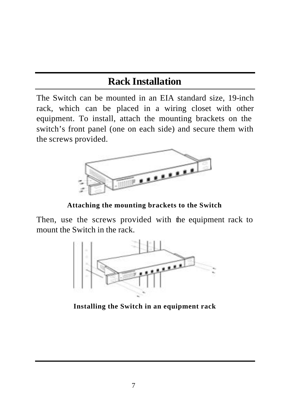#### **Rack Installation**

The Switch can be mounted in an EIA standard size, 19-inch rack, which can be placed in a wiring closet with other equipment. To install, attach the mounting brackets on the switch's front panel (one on each side) and secure them with the screws provided.



**Attaching the mounting brackets to the Switch**

Then, use the screws provided with the equipment rack to mount the Switch in the rack.



**Installing the Switch in an equipment rack**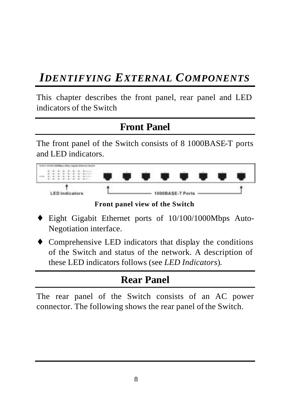#### *IDENTIFYING EXTERNAL COMPONENTS*

This chapter describes the front panel, rear panel and LED indicators of the Switch

#### **Front Panel**

The front panel of the Switch consists of 8 1000BASE-T ports and LED indicators.



**Front panel view of the Switch**

- ♦ Eight Gigabit Ethernet ports of 10/100/1000Mbps Auto-Negotiation interface.
- ♦ Comprehensive LED indicators that display the conditions of the Switch and status of the network. A description of these LED indicators follows (see *LED Indicators*).

#### **Rear Panel**

The rear panel of the Switch consists of an AC power connector. The following shows the rear panel of the Switch.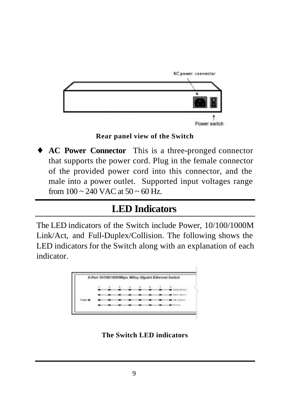

#### **Rear panel view of the Switch**

♦ **AC Power Connector** This is a three-pronged connector that supports the power cord. Plug in the female connector of the provided power cord into this connector, and the male into a power outlet. Supported input voltages range from  $100 \sim 240$  VAC at  $50 \sim 60$  Hz.

#### **LED Indicators**

The LED indicators of the Switch include Power, 10/100/1000M Link/Act, and Full-Duplex/Collision. The following shows the LED indicators for the Switch along with an explanation of each indicator.



**The Switch LED indicators**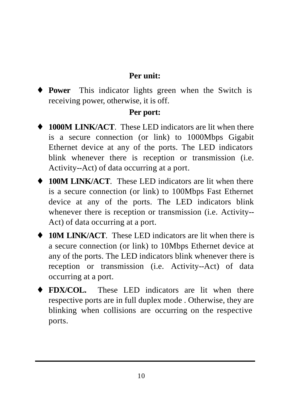#### **Per unit:**

♦ **Power** This indicator lights green when the Switch is receiving power, otherwise, it is off.

#### **Per port:**

- ♦ **1000M LINK/ACT**. These LED indicators are lit when there is a secure connection (or link) to 1000Mbps Gigabit Ethernet device at any of the ports. The LED indicators blink whenever there is reception or transmission (i.e. Activity--Act) of data occurring at a port.
- ♦ **100M LINK/ACT**. These LED indicators are lit when there is a secure connection (or link) to 100Mbps Fast Ethernet device at any of the ports. The LED indicators blink whenever there is reception or transmission (i.e. Activity-- Act) of data occurring at a port.
- ♦ **10M LINK/ACT**. These LED indicators are lit when there is a secure connection (or link) to 10Mbps Ethernet device at any of the ports. The LED indicators blink whenever there is reception or transmission (i.e. Activity--Act) of data occurring at a port.
- ♦ **FDX/COL.** These LED indicators are lit when there respective ports are in full duplex mode . Otherwise, they are blinking when collisions are occurring on the respective ports.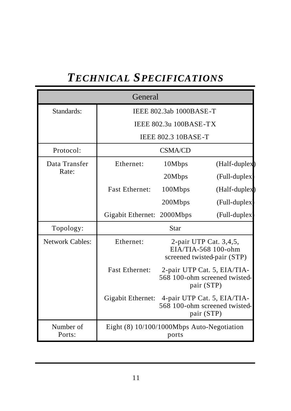## *TECHNICAL SPECIFICATIONS*

| General             |                                               |                |                                                                              |
|---------------------|-----------------------------------------------|----------------|------------------------------------------------------------------------------|
| Standards:          | <b>IEEE 802.3ab 1000BASE-T</b>                |                |                                                                              |
|                     | <b>IEEE 802.3u 100BASE-TX</b>                 |                |                                                                              |
|                     | <b>IEEE 802.3 10BASE-T</b>                    |                |                                                                              |
| Protocol:           |                                               | <b>CSMA/CD</b> |                                                                              |
| Data Transfer       | Ethernet:                                     | 10Mbps         | (Half-duplex)                                                                |
| Rate:               |                                               | 20Mbps         | (Full-duplex)                                                                |
|                     | <b>Fast Ethernet:</b>                         | 100Mbps        | (Half-duplex)                                                                |
|                     |                                               | 200Mbps        | (Full-duplex)                                                                |
|                     | Gigabit Ethernet: 2000Mbps                    |                | (Full-duplex                                                                 |
| Topology:           |                                               | Star           |                                                                              |
| Network Cables:     | Ethernet:                                     |                | 2-pair UTP Cat. 3,4,5,<br>EIA/TIA-568 100-ohm<br>screened twisted-pair (STP) |
|                     | <b>Fast Ethernet:</b>                         |                | 2-pair UTP Cat. 5, EIA/TIA-<br>568 100-ohm screened twisted-<br>pair (STP)   |
|                     | Gigabit Ethernet: 4-pair UTP Cat. 5, EIA/TIA- |                | 568 100-ohm screened twisted-<br>pair (STP)                                  |
| Number of<br>Ports: | Eight (8) 10/100/1000Mbps Auto-Negotiation    | ports          |                                                                              |